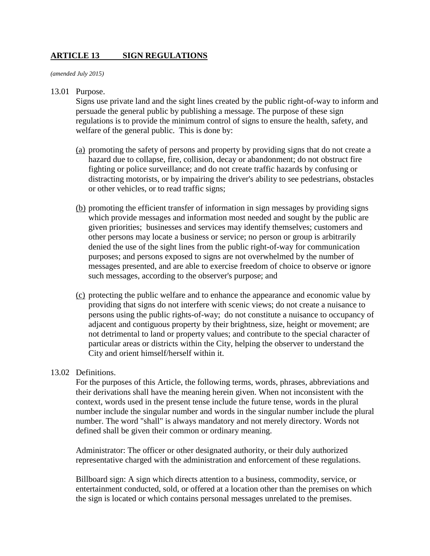# **ARTICLE 13 SIGN REGULATIONS**

*(amended July 2015)*

#### 13.01 Purpose.

Signs use private land and the sight lines created by the public right-of-way to inform and persuade the general public by publishing a message. The purpose of these sign regulations is to provide the minimum control of signs to ensure the health, safety, and welfare of the general public. This is done by:

- (a) promoting the safety of persons and property by providing signs that do not create a hazard due to collapse, fire, collision, decay or abandonment; do not obstruct fire fighting or police surveillance; and do not create traffic hazards by confusing or distracting motorists, or by impairing the driver's ability to see pedestrians, obstacles or other vehicles, or to read traffic signs;
- (b) promoting the efficient transfer of information in sign messages by providing signs which provide messages and information most needed and sought by the public are given priorities; businesses and services may identify themselves; customers and other persons may locate a business or service; no person or group is arbitrarily denied the use of the sight lines from the public right-of-way for communication purposes; and persons exposed to signs are not overwhelmed by the number of messages presented, and are able to exercise freedom of choice to observe or ignore such messages, according to the observer's purpose; and
- (c) protecting the public welfare and to enhance the appearance and economic value by providing that signs do not interfere with scenic views; do not create a nuisance to persons using the public rights-of-way; do not constitute a nuisance to occupancy of adjacent and contiguous property by their brightness, size, height or movement; are not detrimental to land or property values; and contribute to the special character of particular areas or districts within the City, helping the observer to understand the City and orient himself/herself within it.

## 13.02 Definitions.

For the purposes of this Article, the following terms, words, phrases, abbreviations and their derivations shall have the meaning herein given. When not inconsistent with the context, words used in the present tense include the future tense, words in the plural number include the singular number and words in the singular number include the plural number. The word "shall" is always mandatory and not merely directory. Words not defined shall be given their common or ordinary meaning.

Administrator: The officer or other designated authority, or their duly authorized representative charged with the administration and enforcement of these regulations.

Billboard sign: A sign which directs attention to a business, commodity, service, or entertainment conducted, sold, or offered at a location other than the premises on which the sign is located or which contains personal messages unrelated to the premises.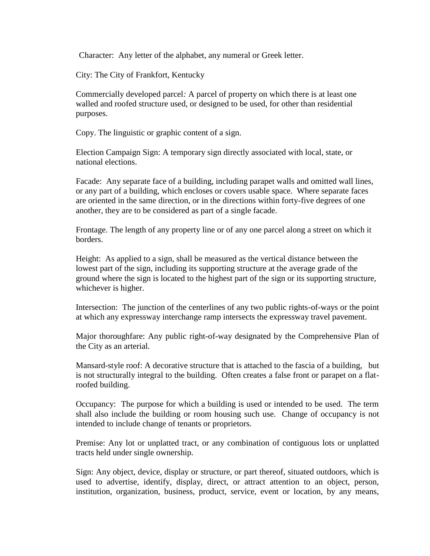Character: Any letter of the alphabet, any numeral or Greek letter.

City: The City of Frankfort, Kentucky

Commercially developed parcel*:* A parcel of property on which there is at least one walled and roofed structure used, or designed to be used, for other than residential purposes.

Copy. The linguistic or graphic content of a sign.

Election Campaign Sign: A temporary sign directly associated with local, state, or national elections.

Facade: Any separate face of a building, including parapet walls and omitted wall lines, or any part of a building, which encloses or covers usable space. Where separate faces are oriented in the same direction, or in the directions within forty-five degrees of one another, they are to be considered as part of a single facade.

Frontage. The length of any property line or of any one parcel along a street on which it borders.

Height: As applied to a sign, shall be measured as the vertical distance between the lowest part of the sign, including its supporting structure at the average grade of the ground where the sign is located to the highest part of the sign or its supporting structure, whichever is higher.

Intersection: The junction of the centerlines of any two public rights-of-ways or the point at which any expressway interchange ramp intersects the expressway travel pavement.

Major thoroughfare: Any public right-of-way designated by the Comprehensive Plan of the City as an arterial.

Mansard-style roof: A decorative structure that is attached to the fascia of a building, but is not structurally integral to the building. Often creates a false front or parapet on a flatroofed building.

Occupancy: The purpose for which a building is used or intended to be used. The term shall also include the building or room housing such use. Change of occupancy is not intended to include change of tenants or proprietors.

Premise: Any lot or unplatted tract, or any combination of contiguous lots or unplatted tracts held under single ownership.

Sign: Any object, device, display or structure, or part thereof, situated outdoors, which is used to advertise, identify, display, direct, or attract attention to an object, person, institution, organization, business, product, service, event or location, by any means,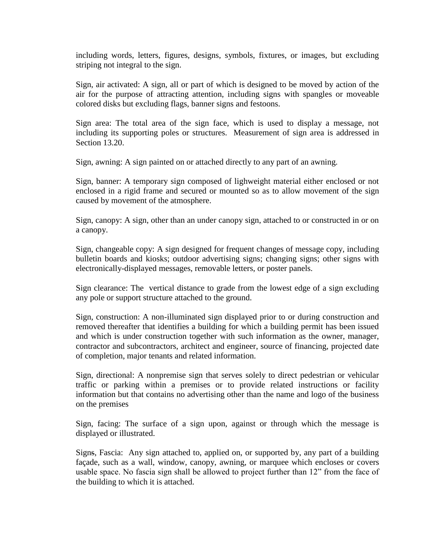including words, letters, figures, designs, symbols, fixtures, or images, but excluding striping not integral to the sign.

Sign, air activated: A sign, all or part of which is designed to be moved by action of the air for the purpose of attracting attention, including signs with spangles or moveable colored disks but excluding flags, banner signs and festoons.

Sign area: The total area of the sign face, which is used to display a message, not including its supporting poles or structures. Measurement of sign area is addressed in Section 13.20.

Sign, awning: A sign painted on or attached directly to any part of an awning.

Sign, banner: A temporary sign composed of lighweight material either enclosed or not enclosed in a rigid frame and secured or mounted so as to allow movement of the sign caused by movement of the atmosphere.

Sign, canopy: A sign, other than an under canopy sign, attached to or constructed in or on a canopy.

Sign, changeable copy: A sign designed for frequent changes of message copy, including bulletin boards and kiosks; outdoor advertising signs; changing signs; other signs with electronically-displayed messages, removable letters, or poster panels.

Sign clearance: The vertical distance to grade from the lowest edge of a sign excluding any pole or support structure attached to the ground.

Sign, construction: A non-illuminated sign displayed prior to or during construction and removed thereafter that identifies a building for which a building permit has been issued and which is under construction together with such information as the owner, manager, contractor and subcontractors, architect and engineer, source of financing, projected date of completion, major tenants and related information.

Sign, directional: A nonpremise sign that serves solely to direct pedestrian or vehicular traffic or parking within a premises or to provide related instructions or facility information but that contains no advertising other than the name and logo of the business on the premises

Sign, facing: The surface of a sign upon, against or through which the message is displayed or illustrated.

Signs, Fascia: Any sign attached to, applied on, or supported by, any part of a building façade, such as a wall, window, canopy, awning, or marquee which encloses or covers usable space. No fascia sign shall be allowed to project further than 12" from the face of the building to which it is attached.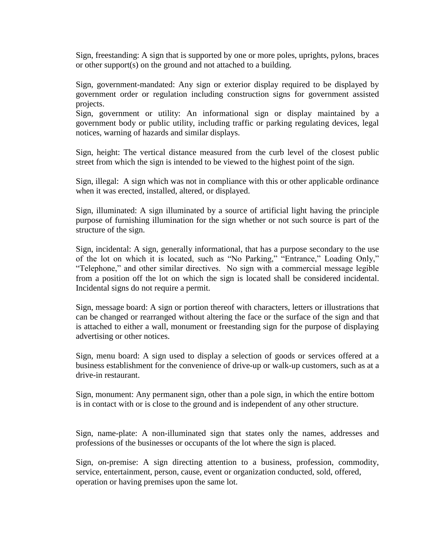Sign, freestanding: A sign that is supported by one or more poles, uprights, pylons, braces or other support(s) on the ground and not attached to a building.

Sign, government-mandated: Any sign or exterior display required to be displayed by government order or regulation including construction signs for government assisted projects.

Sign, government or utility: An informational sign or display maintained by a government body or public utility, including traffic or parking regulating devices, legal notices, warning of hazards and similar displays.

Sign, height: The vertical distance measured from the curb level of the closest public street from which the sign is intended to be viewed to the highest point of the sign.

Sign, illegal: A sign which was not in compliance with this or other applicable ordinance when it was erected, installed, altered, or displayed.

Sign, illuminated: A sign illuminated by a source of artificial light having the principle purpose of furnishing illumination for the sign whether or not such source is part of the structure of the sign.

Sign, incidental: A sign, generally informational, that has a purpose secondary to the use of the lot on which it is located, such as "No Parking," "Entrance," Loading Only," "Telephone," and other similar directives. No sign with a commercial message legible from a position off the lot on which the sign is located shall be considered incidental. Incidental signs do not require a permit.

Sign, message board: A sign or portion thereof with characters, letters or illustrations that can be changed or rearranged without altering the face or the surface of the sign and that is attached to either a wall, monument or freestanding sign for the purpose of displaying advertising or other notices.

Sign, menu board: A sign used to display a selection of goods or services offered at a business establishment for the convenience of drive-up or walk-up customers, such as at a drive-in restaurant.

Sign, monument: Any permanent sign, other than a pole sign, in which the entire bottom is in contact with or is close to the ground and is independent of any other structure.

Sign, name-plate: A non-illuminated sign that states only the names, addresses and professions of the businesses or occupants of the lot where the sign is placed.

Sign, on-premise: A sign directing attention to a business, profession, commodity, service, entertainment, person, cause, event or organization conducted, sold, offered, operation or having premises upon the same lot.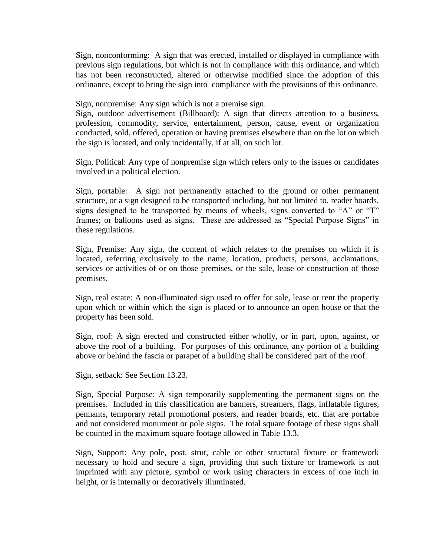Sign, nonconforming: A sign that was erected, installed or displayed in compliance with previous sign regulations, but which is not in compliance with this ordinance, and which has not been reconstructed, altered or otherwise modified since the adoption of this ordinance, except to bring the sign into compliance with the provisions of this ordinance.

Sign, nonpremise: Any sign which is not a premise sign.

Sign, outdoor advertisement (Billboard): A sign that directs attention to a business, profession, commodity, service, entertainment, person, cause, event or organization conducted, sold, offered, operation or having premises elsewhere than on the lot on which the sign is located, and only incidentally, if at all, on such lot.

Sign, Political: Any type of nonpremise sign which refers only to the issues or candidates involved in a political election.

Sign, portable: A sign not permanently attached to the ground or other permanent structure, or a sign designed to be transported including, but not limited to, reader boards, signs designed to be transported by means of wheels, signs converted to "A" or "T" frames; or balloons used as signs. These are addressed as "Special Purpose Signs" in these regulations.

Sign, Premise: Any sign, the content of which relates to the premises on which it is located, referring exclusively to the name, location, products, persons, acclamations, services or activities of or on those premises, or the sale, lease or construction of those premises.

Sign, real estate: A non-illuminated sign used to offer for sale, lease or rent the property upon which or within which the sign is placed or to announce an open house or that the property has been sold.

Sign, roof: A sign erected and constructed either wholly, or in part, upon, against, or above the roof of a building. For purposes of this ordinance, any portion of a building above or behind the fascia or parapet of a building shall be considered part of the roof.

Sign, setback: See Section 13.23.

Sign, Special Purpose: A sign temporarily supplementing the permanent signs on the premises. Included in this classification are banners, streamers, flags, inflatable figures, pennants, temporary retail promotional posters, and reader boards, etc. that are portable and not considered monument or pole signs. The total square footage of these signs shall be counted in the maximum square footage allowed in Table 13.3.

Sign, Support: Any pole, post, strut, cable or other structural fixture or framework necessary to hold and secure a sign, providing that such fixture or framework is not imprinted with any picture, symbol or work using characters in excess of one inch in height, or is internally or decoratively illuminated.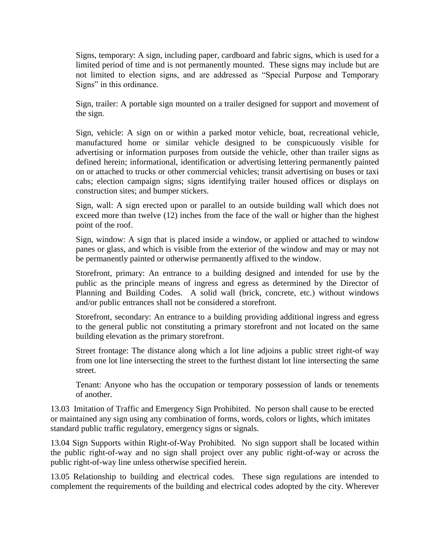Signs, temporary: A sign, including paper, cardboard and fabric signs, which is used for a limited period of time and is not permanently mounted. These signs may include but are not limited to election signs, and are addressed as "Special Purpose and Temporary Signs" in this ordinance.

Sign, trailer: A portable sign mounted on a trailer designed for support and movement of the sign.

Sign, vehicle: A sign on or within a parked motor vehicle, boat, recreational vehicle, manufactured home or similar vehicle designed to be conspicuously visible for advertising or information purposes from outside the vehicle, other than trailer signs as defined herein; informational, identification or advertising lettering permanently painted on or attached to trucks or other commercial vehicles; transit advertising on buses or taxi cabs; election campaign signs; signs identifying trailer housed offices or displays on construction sites; and bumper stickers.

Sign, wall: A sign erected upon or parallel to an outside building wall which does not exceed more than twelve (12) inches from the face of the wall or higher than the highest point of the roof.

Sign, window: A sign that is placed inside a window, or applied or attached to window panes or glass, and which is visible from the exterior of the window and may or may not be permanently painted or otherwise permanently affixed to the window.

Storefront, primary: An entrance to a building designed and intended for use by the public as the principle means of ingress and egress as determined by the Director of Planning and Building Codes. A solid wall (brick, concrete, etc.) without windows and/or public entrances shall not be considered a storefront.

Storefront, secondary: An entrance to a building providing additional ingress and egress to the general public not constituting a primary storefront and not located on the same building elevation as the primary storefront.

Street frontage: The distance along which a lot line adjoins a public street right-of way from one lot line intersecting the street to the furthest distant lot line intersecting the same street.

Tenant: Anyone who has the occupation or temporary possession of lands or tenements of another.

13.03 Imitation of Traffic and Emergency Sign Prohibited. No person shall cause to be erected or maintained any sign using any combination of forms, words, colors or lights, which imitates standard public traffic regulatory, emergency signs or signals.

13.04 Sign Supports within Right-of-Way Prohibited. No sign support shall be located within the public right-of-way and no sign shall project over any public right-of-way or across the public right-of-way line unless otherwise specified herein.

13.05 Relationship to building and electrical codes*.* These sign regulations are intended to complement the requirements of the building and electrical codes adopted by the city. Wherever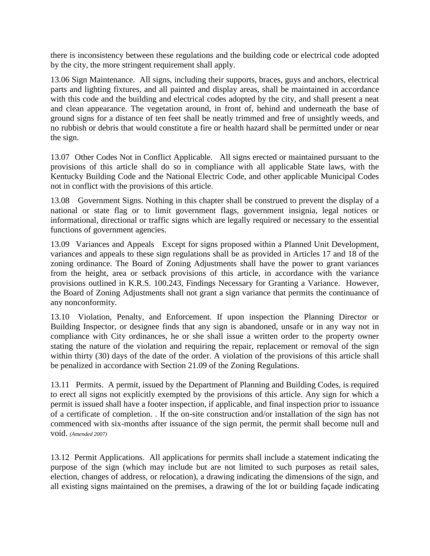there is inconsistency between these regulations and the building code or electrical code adopted by the city, the more stringent requirement shall apply.

13.06 Sign Maintenance. All signs, including their supports, braces, guys and anchors, electrical parts and lighting fixtures, and all painted and display areas, shall be maintained in accordance with this code and the building and electrical codes adopted by the city, and shall present a neat and clean appearance. The vegetation around, in front of, behind and underneath the base of ground signs for a distance of ten feet shall be neatly trimmed and free of unsightly weeds, and no rubbish or debris that would constitute a fire or health hazard shall be permitted under or near the sign.

13.07 Other Codes Not in Conflict Applicable. All signs erected or maintained pursuant to the provisions of this article shall do so in compliance with all applicable State laws, with the Kentucky Building Code and the National Electric Code, and other applicable Municipal Codes not in conflict with the provisions of this article.

13.08 Government Signs. Nothing in this chapter shall be construed to prevent the display of a national or state flag or to limit government flags, government insignia, legal notices or informational, directional or traffic signs which are legally required or necessary to the essential functions of government agencies.

13.09 Variances and Appeals Except for signs proposed within a Planned Unit Development, variances and appeals to these sign regulations shall be as provided in Articles 17 and 18 of the zoning ordinance. The Board of Zoning Adjustments shall have the power to grant variances from the height, area or setback provisions of this article, in accordance with the variance provisions outlined in K.R.S. 100.243, Findings Necessary for Granting a Variance. However, the Board of Zoning Adjustments shall not grant a sign variance that permits the continuance of any nonconformity.

13.10 Violation, Penalty, and Enforcement. If upon inspection the Planning Director or Building Inspector, or designee finds that any sign is abandoned, unsafe or in any way not in compliance with City ordinances, he or she shall issue a written order to the property owner stating the nature of the violation and requiring the repair, replacement or removal of the sign within thirty (30) days of the date of the order. A violation of the provisions of this article shall be penalized in accordance with Section 21.09 of the Zoning Regulations.

13.11 Permits. A permit, issued by the Department of Planning and Building Codes, is required to erect all signs not explicitly exempted by the provisions of this article. Any sign for which a permit is issued shall have a footer inspection, if applicable, and final inspection prior to issuance of a certificate of completion. . If the on-site construction and/or installation of the sign has not commenced with six-months after issuance of the sign permit, the permit shall become null and void. *(Amended 2007)*

13.12 Permit Applications. All applications for permits shall include a statement indicating the purpose of the sign (which may include but are not limited to such purposes as retail sales, election, changes of address, or relocation), a drawing indicating the dimensions of the sign, and all existing signs maintained on the premises, a drawing of the lot or building façade indicating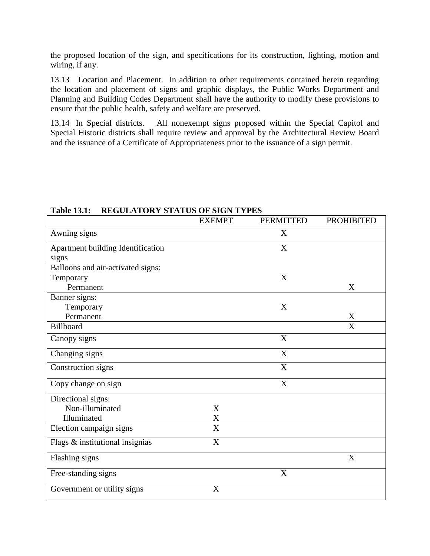the proposed location of the sign, and specifications for its construction, lighting, motion and wiring, if any.

13.13 Location and Placement. In addition to other requirements contained herein regarding the location and placement of signs and graphic displays, the Public Works Department and Planning and Building Codes Department shall have the authority to modify these provisions to ensure that the public health, safety and welfare are preserved.

13.14 In Special districts. All nonexempt signs proposed within the Special Capitol and Special Historic districts shall require review and approval by the Architectural Review Board and the issuance of a Certificate of Appropriateness prior to the issuance of a sign permit.

|                                   | <b>EXEMPT</b> | <b>PERMITTED</b>          | <b>PROHIBITED</b> |
|-----------------------------------|---------------|---------------------------|-------------------|
| Awning signs                      |               | X                         |                   |
| Apartment building Identification |               | X                         |                   |
| signs                             |               |                           |                   |
| Balloons and air-activated signs: |               |                           |                   |
| Temporary                         |               | X                         |                   |
| Permanent                         |               |                           | X                 |
| Banner signs:                     |               |                           |                   |
| Temporary                         |               | X                         |                   |
| Permanent                         |               |                           | $\mathbf X$       |
| Billboard                         |               |                           | X                 |
| Canopy signs                      |               | X                         |                   |
| Changing signs                    |               | $\boldsymbol{\mathrm{X}}$ |                   |
| Construction signs                |               | X                         |                   |
| Copy change on sign               |               | $\boldsymbol{\mathrm{X}}$ |                   |
| Directional signs:                |               |                           |                   |
| Non-illuminated                   | X             |                           |                   |
| Illuminated                       | $\mathbf X$   |                           |                   |
| Election campaign signs           | $\mathbf X$   |                           |                   |
| Flags & institutional insignias   | X             |                           |                   |
| Flashing signs                    |               |                           | X                 |
| Free-standing signs               |               | $\mathbf X$               |                   |
| Government or utility signs       | X             |                           |                   |

# **Table 13.1: REGULATORY STATUS OF SIGN TYPES**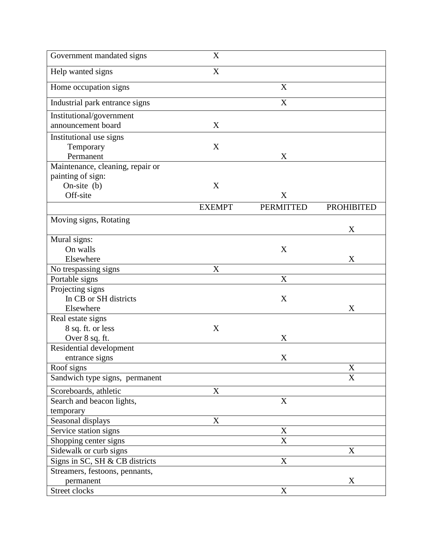| Government mandated signs        | X                     |                           |                   |
|----------------------------------|-----------------------|---------------------------|-------------------|
| Help wanted signs                | $\overline{\text{X}}$ |                           |                   |
| Home occupation signs            |                       | X                         |                   |
| Industrial park entrance signs   |                       | X                         |                   |
| Institutional/government         |                       |                           |                   |
| announcement board               | X                     |                           |                   |
| Institutional use signs          |                       |                           |                   |
| Temporary                        | X                     |                           |                   |
| Permanent                        |                       | X                         |                   |
| Maintenance, cleaning, repair or |                       |                           |                   |
| painting of sign:                |                       |                           |                   |
| On-site $(b)$                    | X                     |                           |                   |
| Off-site                         |                       | X                         |                   |
|                                  | <b>EXEMPT</b>         | <b>PERMITTED</b>          | <b>PROHIBITED</b> |
| Moving signs, Rotating           |                       |                           |                   |
|                                  |                       |                           | X                 |
| Mural signs:                     |                       |                           |                   |
| On walls                         |                       | X                         |                   |
| Elsewhere                        |                       |                           | X                 |
| No trespassing signs             | X                     |                           |                   |
| Portable signs                   |                       | X                         |                   |
| Projecting signs                 |                       |                           |                   |
| In CB or SH districts            |                       | X                         |                   |
| Elsewhere                        |                       |                           | X                 |
| Real estate signs                |                       |                           |                   |
| 8 sq. ft. or less                | X                     |                           |                   |
| Over 8 sq. ft.                   |                       | X                         |                   |
| Residential development          |                       |                           |                   |
| entrance signs                   |                       | X                         |                   |
| Roof signs                       |                       |                           | X                 |
| Sandwich type signs, permanent   |                       |                           | X                 |
| Scoreboards, athletic            | X                     |                           |                   |
| Search and beacon lights,        |                       | X                         |                   |
| temporary                        |                       |                           |                   |
| Seasonal displays                | X                     |                           |                   |
| Service station signs            |                       | $\mathbf X$               |                   |
| Shopping center signs            |                       | $\boldsymbol{\mathrm{X}}$ |                   |
| Sidewalk or curb signs           |                       |                           | X                 |
| Signs in SC, SH & CB districts   |                       | $\mathbf X$               |                   |
| Streamers, festoons, pennants,   |                       |                           |                   |
| permanent                        |                       |                           | X                 |
| Street clocks                    |                       | $\mathbf X$               |                   |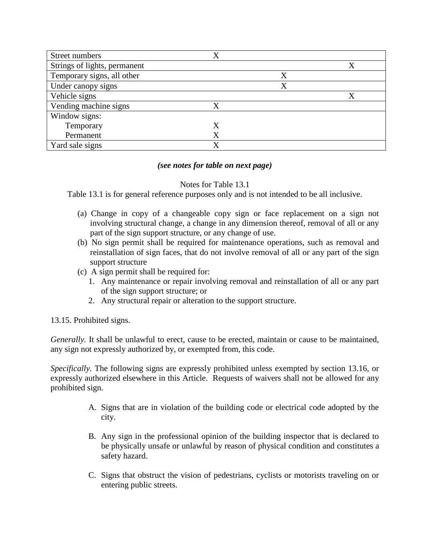| Street numbers               | X           |   |   |
|------------------------------|-------------|---|---|
| Strings of lights, permanent |             |   | X |
| Temporary signs, all other   |             | X |   |
| Under canopy signs           |             | X |   |
| Vehicle signs                |             |   |   |
| Vending machine signs        |             |   |   |
| Window signs:                |             |   |   |
| Temporary                    | Χ           |   |   |
| Permanent                    |             |   |   |
| Yard sale signs              | $\mathbf x$ |   |   |

# *(see notes for table on next page)*

# Notes for Table 13.1

Table 13.1 is for general reference purposes only and is not intended to be all inclusive.

- (a) Change in copy of a changeable copy sign or face replacement on a sign not involving structural change, a change in any dimension thereof, removal of all or any part of the sign support structure, or any change of use.
- (b) No sign permit shall be required for maintenance operations, such as removal and reinstallation of sign faces, that do not involve removal of all or any part of the sign support structure
- (c) A sign permit shall be required for:
	- 1. Any maintenance or repair involving removal and reinstallation of all or any part of the sign support structure; or
	- 2. Any structural repair or alteration to the support structure.
- 13.15. Prohibited signs.

*Generally.* It shall be unlawful to erect, cause to be erected, maintain or cause to be maintained, any sign not expressly authorized by, or exempted from, this code.

*Specifically.* The following signs are expressly prohibited unless exempted by section 13.16, or expressly authorized elsewhere in this Article. Requests of waivers shall not be allowed for any prohibited sign.

- A. Signs that are in violation of the building code or electrical code adopted by the city.
- B. Any sign in the professional opinion of the building inspector that is declared to be physically unsafe or unlawful by reason of physical condition and constitutes a safety hazard.
- C. Signs that obstruct the vision of pedestrians, cyclists or motorists traveling on or entering public streets.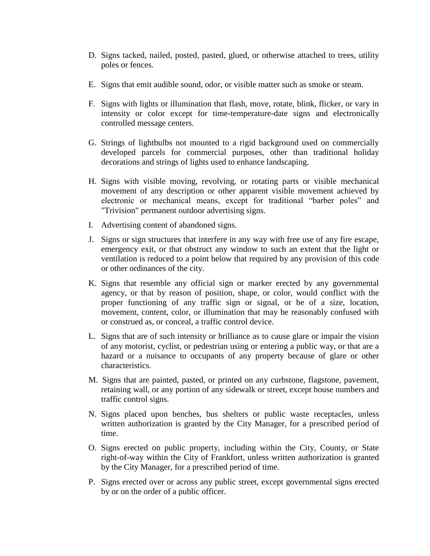- D. Signs tacked, nailed, posted, pasted, glued, or otherwise attached to trees, utility poles or fences.
- E. Signs that emit audible sound, odor, or visible matter such as smoke or steam.
- F. Signs with lights or illumination that flash, move, rotate, blink, flicker, or vary in intensity or color except for time-temperature-date signs and electronically controlled message centers.
- G. Strings of lightbulbs not mounted to a rigid background used on commercially developed parcels for commercial purposes, other than traditional holiday decorations and strings of lights used to enhance landscaping.
- H. Signs with visible moving, revolving, or rotating parts or visible mechanical movement of any description or other apparent visible movement achieved by electronic or mechanical means, except for traditional "barber poles" and "Trivision" permanent outdoor advertising signs.
- I. Advertising content of abandoned signs.
- J. Signs or sign structures that interfere in any way with free use of any fire escape, emergency exit, or that obstruct any window to such an extent that the light or ventilation is reduced to a point below that required by any provision of this code or other ordinances of the city.
- K. Signs that resemble any official sign or marker erected by any governmental agency, or that by reason of position, shape, or color, would conflict with the proper functioning of any traffic sign or signal, or be of a size, location, movement, content, color, or illumination that may be reasonably confused with or construed as, or conceal, a traffic control device.
- L. Signs that are of such intensity or brilliance as to cause glare or impair the vision of any motorist, cyclist, or pedestrian using or entering a public way, or that are a hazard or a nuisance to occupants of any property because of glare or other characteristics.
- M. Signs that are painted, pasted, or printed on any curbstone, flagstone, pavement, retaining wall, or any portion of any sidewalk or street, except house numbers and traffic control signs.
- N. Signs placed upon benches, bus shelters or public waste receptacles, unless written authorization is granted by the City Manager, for a prescribed period of time.
- O. Signs erected on public property, including within the City, County, or State right-of-way within the City of Frankfort, unless written authorization is granted by the City Manager, for a prescribed period of time.
- P. Signs erected over or across any public street, except governmental signs erected by or on the order of a public officer.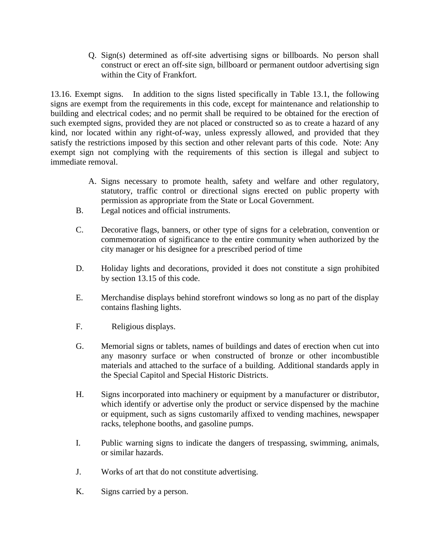Q. Sign(s) determined as off-site advertising signs or billboards. No person shall construct or erect an off-site sign, billboard or permanent outdoor advertising sign within the City of Frankfort.

13.16. Exempt signs. In addition to the signs listed specifically in Table 13.1, the following signs are exempt from the requirements in this code, except for maintenance and relationship to building and electrical codes; and no permit shall be required to be obtained for the erection of such exempted signs, provided they are not placed or constructed so as to create a hazard of any kind, nor located within any right-of-way, unless expressly allowed, and provided that they satisfy the restrictions imposed by this section and other relevant parts of this code. Note: Any exempt sign not complying with the requirements of this section is illegal and subject to immediate removal.

- A. Signs necessary to promote health, safety and welfare and other regulatory, statutory, traffic control or directional signs erected on public property with permission as appropriate from the State or Local Government.
- B. Legal notices and official instruments.
- C. Decorative flags, banners, or other type of signs for a celebration, convention or commemoration of significance to the entire community when authorized by the city manager or his designee for a prescribed period of time
- D. Holiday lights and decorations, provided it does not constitute a sign prohibited by section 13.15 of this code.
- E. Merchandise displays behind storefront windows so long as no part of the display contains flashing lights.
- F. Religious displays.
- G. Memorial signs or tablets, names of buildings and dates of erection when cut into any masonry surface or when constructed of bronze or other incombustible materials and attached to the surface of a building. Additional standards apply in the Special Capitol and Special Historic Districts.
- H. Signs incorporated into machinery or equipment by a manufacturer or distributor, which identify or advertise only the product or service dispensed by the machine or equipment, such as signs customarily affixed to vending machines, newspaper racks, telephone booths, and gasoline pumps.
- I. Public warning signs to indicate the dangers of trespassing, swimming, animals, or similar hazards.
- J. Works of art that do not constitute advertising.
- K. Signs carried by a person.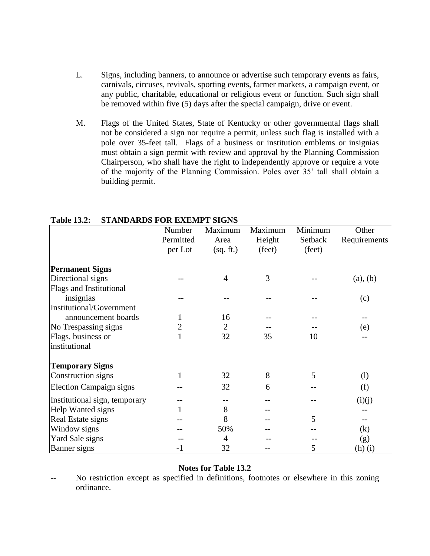- L. Signs, including banners, to announce or advertise such temporary events as fairs, carnivals, circuses, revivals, sporting events, farmer markets, a campaign event, or any public, charitable, educational or religious event or function. Such sign shall be removed within five (5) days after the special campaign, drive or event.
- M. Flags of the United States, State of Kentucky or other governmental flags shall not be considered a sign nor require a permit, unless such flag is installed with a pole over 35-feet tall. Flags of a business or institution emblems or insignias must obtain a sign permit with review and approval by the Planning Commission Chairperson, who shall have the right to independently approve or require a vote of the majority of the Planning Commission. Poles over 35' tall shall obtain a building permit.

|                                | Number    | Maximum        | Maximum | Minimum | Other        |
|--------------------------------|-----------|----------------|---------|---------|--------------|
|                                | Permitted | Area           | Height  | Setback | Requirements |
|                                | per Lot   | (sq. ft.)      | (feet)  | (feet)  |              |
| <b>Permanent Signs</b>         |           |                |         |         |              |
| Directional signs              |           | $\overline{4}$ | 3       |         | (a), (b)     |
| <b>Flags and Institutional</b> |           |                |         |         |              |
| insignias                      |           |                |         |         | (c)          |
| Institutional/Government       |           |                |         |         |              |
| announcement boards            |           | 16             |         |         |              |
| No Trespassing signs           |           | $\overline{2}$ |         |         | (e)          |
| Flags, business or             | 1         | 32             | 35      | 10      |              |
| institutional                  |           |                |         |         |              |
| <b>Temporary Signs</b>         |           |                |         |         |              |
| Construction signs             | 1         | 32             | 8       | 5       | (1)          |
| <b>Election Campaign signs</b> |           | 32             | 6       |         | (f)          |
| Institutional sign, temporary  |           |                |         |         | (i)(j)       |
| Help Wanted signs              |           | 8              |         |         |              |
| Real Estate signs              |           | 8              |         | 5       |              |
| Window signs                   |           | 50%            |         |         | (k)          |
| Yard Sale signs                |           | 4              |         |         | (g)          |
| Banner signs                   | $-1$      | 32             |         | 5       | (h)(i)       |

# **Table 13.2: STANDARDS FOR EXEMPT SIGNS**

#### **Notes for Table 13.2**

No restriction except as specified in definitions, footnotes or elsewhere in this zoning ordinance.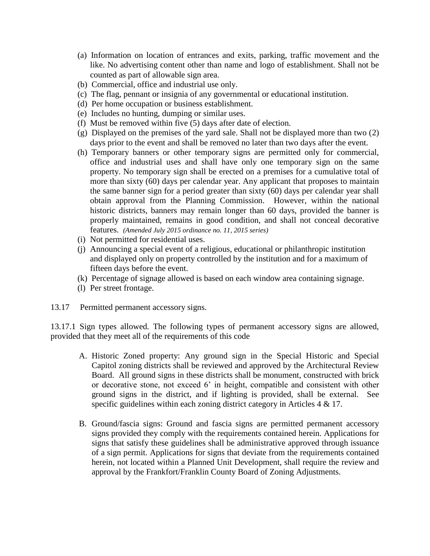- (a) Information on location of entrances and exits, parking, traffic movement and the like. No advertising content other than name and logo of establishment. Shall not be counted as part of allowable sign area.
- (b) Commercial, office and industrial use only.
- (c) The flag, pennant or insignia of any governmental or educational institution.
- (d) Per home occupation or business establishment.
- (e) Includes no hunting, dumping or similar uses.
- (f) Must be removed within five (5) days after date of election.
- (g) Displayed on the premises of the yard sale. Shall not be displayed more than two (2) days prior to the event and shall be removed no later than two days after the event.
- (h) Temporary banners or other temporary signs are permitted only for commercial, office and industrial uses and shall have only one temporary sign on the same property. No temporary sign shall be erected on a premises for a cumulative total of more than sixty (60) days per calendar year. Any applicant that proposes to maintain the same banner sign for a period greater than sixty (60) days per calendar year shall obtain approval from the Planning Commission. However, within the national historic districts, banners may remain longer than 60 days, provided the banner is properly maintained, remains in good condition, and shall not conceal decorative features. *(Amended July 2015 ordinance no. 11, 2015 series)*
- (i) Not permitted for residential uses.
- (j) Announcing a special event of a religious, educational or philanthropic institution and displayed only on property controlled by the institution and for a maximum of fifteen days before the event.
- (k) Percentage of signage allowed is based on each window area containing signage.
- (l) Per street frontage.
- 13.17 Permitted permanent accessory signs.

13.17.1 Sign types allowed*.* The following types of permanent accessory signs are allowed, provided that they meet all of the requirements of this code

- A. Historic Zoned property: Any ground sign in the Special Historic and Special Capitol zoning districts shall be reviewed and approved by the Architectural Review Board. All ground signs in these districts shall be monument, constructed with brick or decorative stone, not exceed 6' in height, compatible and consistent with other ground signs in the district, and if lighting is provided, shall be external. See specific guidelines within each zoning district category in Articles 4 & 17.
- B. Ground/fascia signs: Ground and fascia signs are permitted permanent accessory signs provided they comply with the requirements contained herein. Applications for signs that satisfy these guidelines shall be administrative approved through issuance of a sign permit. Applications for signs that deviate from the requirements contained herein, not located within a Planned Unit Development, shall require the review and approval by the Frankfort/Franklin County Board of Zoning Adjustments.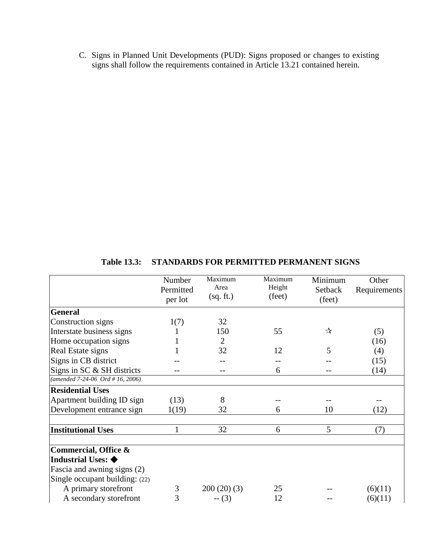C. Signs in Planned Unit Developments (PUD): Signs proposed or changes to existing signs shall follow the requirements contained in Article 13.21 contained herein.

|                                                               | Number<br>Permitted<br>per lot | Maximum<br>Area<br>(sq. ft.) | Maximum<br>Height<br>(feet) | Minimum<br>Setback<br>(feet) | Other<br>Requirements |
|---------------------------------------------------------------|--------------------------------|------------------------------|-----------------------------|------------------------------|-----------------------|
| <b>General</b>                                                |                                |                              |                             |                              |                       |
| Construction signs                                            | 1(7)                           | 32                           |                             |                              |                       |
| Interstate business signs                                     |                                | 150                          | 55                          | ☆                            | (5)                   |
| Home occupation signs                                         |                                | $\overline{2}$               |                             |                              | (16)                  |
| Real Estate signs                                             |                                | 32                           | 12                          | 5                            | (4)                   |
| Signs in CB district                                          |                                |                              |                             |                              | (15)                  |
| Signs in SC & SH districts                                    |                                |                              | 6                           |                              | (14)                  |
| (amended $7-24-06$ Ord # 16, 2006)                            |                                |                              |                             |                              |                       |
| <b>Residential Uses</b>                                       |                                |                              |                             |                              |                       |
| Apartment building ID sign                                    | (13)                           | 8                            |                             |                              |                       |
| Development entrance sign                                     | 1(19)                          | 32                           | 6                           | 10                           | (12)                  |
| <b>Institutional Uses</b>                                     | 1                              | 32                           | 6                           | 5                            | (7)                   |
| Commercial, Office &                                          |                                |                              |                             |                              |                       |
| Industrial Uses: $\blacklozenge$                              |                                |                              |                             |                              |                       |
| Fascia and awning signs (2)<br>Single occupant building: (22) |                                |                              |                             |                              |                       |
| A primary storefront                                          | 3                              | 200(20)(3)                   | 25                          |                              | (6)(11)               |
| A secondary storefront                                        | 3                              | $- (3)$                      | 12                          |                              | (6)(11)               |

**Table 13.3: STANDARDS FOR PERMITTED PERMANENT SIGNS**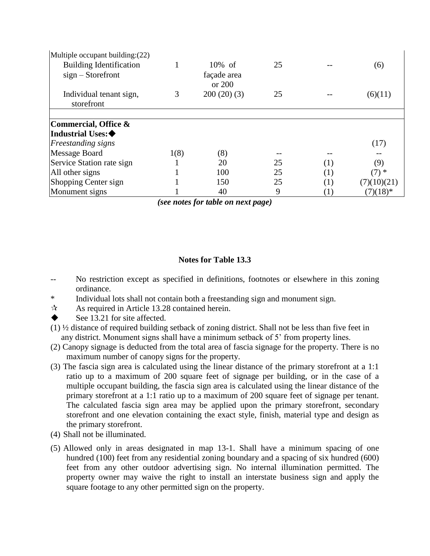| Multiple occupant building: (22) |      |             |    |     |             |
|----------------------------------|------|-------------|----|-----|-------------|
| <b>Building Identification</b>   |      | $10\%$ of   | 25 |     | (6)         |
| $sign - Storefront$              |      | façade area |    |     |             |
|                                  |      | or 200      |    |     |             |
| Individual tenant sign,          | 3    | 200(20)(3)  | 25 |     | (6)(11)     |
| storefront                       |      |             |    |     |             |
|                                  |      |             |    |     |             |
| Commercial, Office &             |      |             |    |     |             |
| Industrial Uses:◆                |      |             |    |     |             |
| <b>Freestanding signs</b>        |      |             |    |     | (17)        |
| Message Board                    | 1(8) | (8)         |    |     |             |
| Service Station rate sign        |      | 20          | 25 | (1) | (9)         |
| All other signs                  |      | 100         | 25 | (1) | $(7)$ *     |
| <b>Shopping Center sign</b>      |      | 150         | 25 | (1) | (7)(10)(21) |
| Monument signs                   |      | 40          | 9  |     | $(7)(18)*$  |

*(see notes for table on next page)*

# **Notes for Table 13.3**

- No restriction except as specified in definitions, footnotes or elsewhere in this zoning ordinance.
- \* Individual lots shall not contain both a freestanding sign and monument sign.
- $\approx$  As required in Article 13.28 contained herein.
- See 13.21 for site affected.
- (1) ½ distance of required building setback of zoning district. Shall not be less than five feet in any district. Monument signs shall have a minimum setback of 5' from property lines.
- (2) Canopy signage is deducted from the total area of fascia signage for the property. There is no maximum number of canopy signs for the property.
- (3) The fascia sign area is calculated using the linear distance of the primary storefront at a 1:1 ratio up to a maximum of 200 square feet of signage per building, or in the case of a multiple occupant building, the fascia sign area is calculated using the linear distance of the primary storefront at a 1:1 ratio up to a maximum of 200 square feet of signage per tenant. The calculated fascia sign area may be applied upon the primary storefront, secondary storefront and one elevation containing the exact style, finish, material type and design as the primary storefront.
- (4) Shall not be illuminated.
- (5) Allowed only in areas designated in map 13-1. Shall have a minimum spacing of one hundred (100) feet from any residential zoning boundary and a spacing of six hundred (600) feet from any other outdoor advertising sign. No internal illumination permitted. The property owner may waive the right to install an interstate business sign and apply the square footage to any other permitted sign on the property.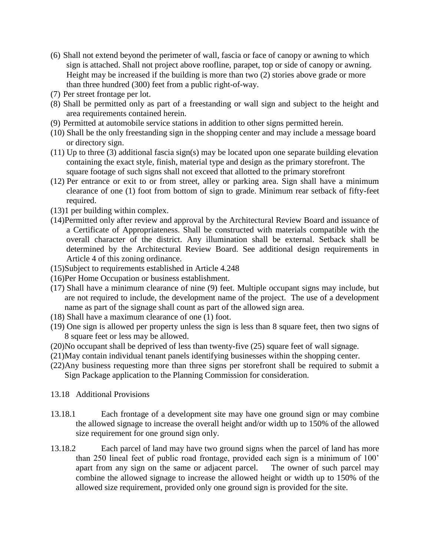- (6) Shall not extend beyond the perimeter of wall, fascia or face of canopy or awning to which sign is attached. Shall not project above roofline, parapet, top or side of canopy or awning. Height may be increased if the building is more than two (2) stories above grade or more than three hundred (300) feet from a public right-of-way.
- (7) Per street frontage per lot.
- (8) Shall be permitted only as part of a freestanding or wall sign and subject to the height and area requirements contained herein.
- (9) Permitted at automobile service stations in addition to other signs permitted herein.
- (10) Shall be the only freestanding sign in the shopping center and may include a message board or directory sign.
- (11) Up to three (3) additional fascia sign(s) may be located upon one separate building elevation containing the exact style, finish, material type and design as the primary storefront. The square footage of such signs shall not exceed that allotted to the primary storefront
- (12) Per entrance or exit to or from street, alley or parking area. Sign shall have a minimum clearance of one (1) foot from bottom of sign to grade. Minimum rear setback of fifty-feet required.
- (13)1 per building within complex.
- (14)Permitted only after review and approval by the Architectural Review Board and issuance of a Certificate of Appropriateness. Shall be constructed with materials compatible with the overall character of the district. Any illumination shall be external. Setback shall be determined by the Architectural Review Board. See additional design requirements in Article 4 of this zoning ordinance.
- (15)Subject to requirements established in Article 4.248
- (16)Per Home Occupation or business establishment.
- (17) Shall have a minimum clearance of nine (9) feet. Multiple occupant signs may include, but are not required to include, the development name of the project. The use of a development name as part of the signage shall count as part of the allowed sign area.
- (18) Shall have a maximum clearance of one (1) foot.
- (19) One sign is allowed per property unless the sign is less than 8 square feet, then two signs of 8 square feet or less may be allowed.
- (20)No occupant shall be deprived of less than twenty-five (25) square feet of wall signage.
- (21)May contain individual tenant panels identifying businesses within the shopping center.
- (22)Any business requesting more than three signs per storefront shall be required to submit a Sign Package application to the Planning Commission for consideration.
- 13.18 Additional Provisions
- 13.18.1 Each frontage of a development site may have one ground sign or may combine the allowed signage to increase the overall height and/or width up to 150% of the allowed size requirement for one ground sign only.
- 13.18.2 Each parcel of land may have two ground signs when the parcel of land has more than 250 lineal feet of public road frontage, provided each sign is a minimum of 100' apart from any sign on the same or adjacent parcel. The owner of such parcel may combine the allowed signage to increase the allowed height or width up to 150% of the allowed size requirement, provided only one ground sign is provided for the site.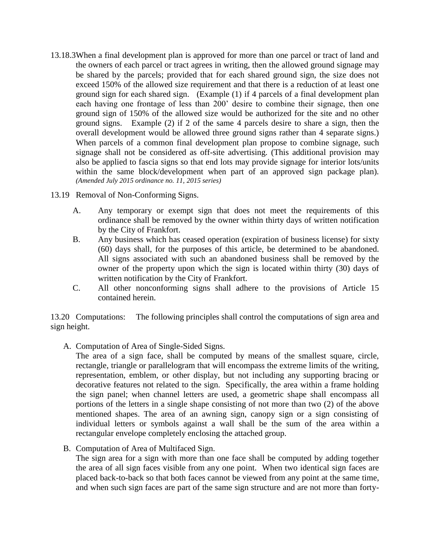- 13.18.3When a final development plan is approved for more than one parcel or tract of land and the owners of each parcel or tract agrees in writing, then the allowed ground signage may be shared by the parcels; provided that for each shared ground sign, the size does not exceed 150% of the allowed size requirement and that there is a reduction of at least one ground sign for each shared sign. (Example (1) if 4 parcels of a final development plan each having one frontage of less than 200' desire to combine their signage, then one ground sign of 150% of the allowed size would be authorized for the site and no other ground signs. Example (2) if 2 of the same 4 parcels desire to share a sign, then the overall development would be allowed three ground signs rather than 4 separate signs.) When parcels of a common final development plan propose to combine signage, such signage shall not be considered as off-site advertising. (This additional provision may also be applied to fascia signs so that end lots may provide signage for interior lots/units within the same block/development when part of an approved sign package plan). *(Amended July 2015 ordinance no. 11, 2015 series)*
- 13.19 Removal of Non-Conforming Signs.
	- A. Any temporary or exempt sign that does not meet the requirements of this ordinance shall be removed by the owner within thirty days of written notification by the City of Frankfort.
	- B. Any business which has ceased operation (expiration of business license) for sixty (60) days shall, for the purposes of this article, be determined to be abandoned. All signs associated with such an abandoned business shall be removed by the owner of the property upon which the sign is located within thirty (30) days of written notification by the City of Frankfort.
	- C. All other nonconforming signs shall adhere to the provisions of Article 15 contained herein.

13.20 Computations: The following principles shall control the computations of sign area and sign height.

A. Computation of Area of Single-Sided Signs.

The area of a sign face, shall be computed by means of the smallest square, circle, rectangle, triangle or parallelogram that will encompass the extreme limits of the writing, representation, emblem, or other display, but not including any supporting bracing or decorative features not related to the sign. Specifically, the area within a frame holding the sign panel; when channel letters are used, a geometric shape shall encompass all portions of the letters in a single shape consisting of not more than two (2) of the above mentioned shapes. The area of an awning sign, canopy sign or a sign consisting of individual letters or symbols against a wall shall be the sum of the area within a rectangular envelope completely enclosing the attached group.

B. Computation of Area of Multifaced Sign.

The sign area for a sign with more than one face shall be computed by adding together the area of all sign faces visible from any one point. When two identical sign faces are placed back-to-back so that both faces cannot be viewed from any point at the same time, and when such sign faces are part of the same sign structure and are not more than forty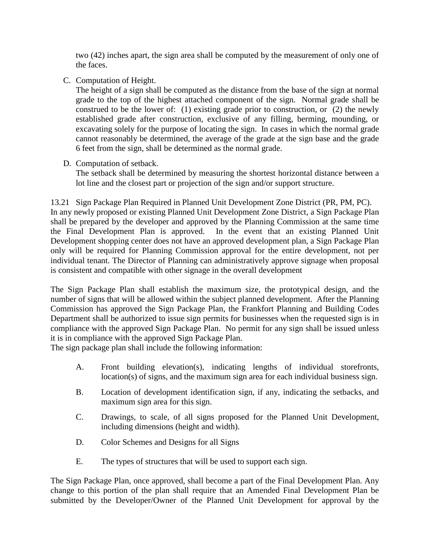two (42) inches apart, the sign area shall be computed by the measurement of only one of the faces.

C. Computation of Height.

The height of a sign shall be computed as the distance from the base of the sign at normal grade to the top of the highest attached component of the sign. Normal grade shall be construed to be the lower of: (1) existing grade prior to construction, or  $(2)$  the newly established grade after construction, exclusive of any filling, berming, mounding, or excavating solely for the purpose of locating the sign. In cases in which the normal grade cannot reasonably be determined, the average of the grade at the sign base and the grade 6 feet from the sign, shall be determined as the normal grade.

D. Computation of setback.

The setback shall be determined by measuring the shortest horizontal distance between a lot line and the closest part or projection of the sign and/or support structure.

13.21 Sign Package Plan Required in Planned Unit Development Zone District (PR, PM, PC). In any newly proposed or existing Planned Unit Development Zone District, a Sign Package Plan shall be prepared by the developer and approved by the Planning Commission at the same time the Final Development Plan is approved. In the event that an existing Planned Unit Development shopping center does not have an approved development plan, a Sign Package Plan only will be required for Planning Commission approval for the entire development, not per individual tenant. The Director of Planning can administratively approve signage when proposal is consistent and compatible with other signage in the overall development

The Sign Package Plan shall establish the maximum size, the prototypical design, and the number of signs that will be allowed within the subject planned development. After the Planning Commission has approved the Sign Package Plan, the Frankfort Planning and Building Codes Department shall be authorized to issue sign permits for businesses when the requested sign is in compliance with the approved Sign Package Plan. No permit for any sign shall be issued unless it is in compliance with the approved Sign Package Plan.

The sign package plan shall include the following information:

- A. Front building elevation(s), indicating lengths of individual storefronts, location(s) of signs, and the maximum sign area for each individual business sign.
- B. Location of development identification sign, if any, indicating the setbacks, and maximum sign area for this sign.
- C. Drawings, to scale, of all signs proposed for the Planned Unit Development, including dimensions (height and width).
- D. Color Schemes and Designs for all Signs
- E. The types of structures that will be used to support each sign.

The Sign Package Plan, once approved, shall become a part of the Final Development Plan. Any change to this portion of the plan shall require that an Amended Final Development Plan be submitted by the Developer/Owner of the Planned Unit Development for approval by the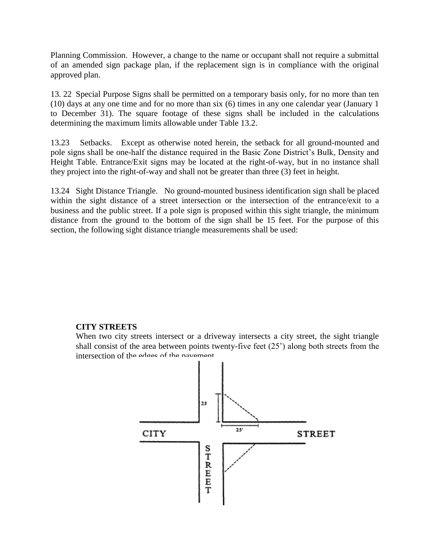Planning Commission. However, a change to the name or occupant shall not require a submittal of an amended sign package plan, if the replacement sign is in compliance with the original approved plan.

13. 22 Special Purpose Signs shall be permitted on a temporary basis only, for no more than ten (10) days at any one time and for no more than six (6) times in any one calendar year (January 1 to December 31). The square footage of these signs shall be included in the calculations determining the maximum limits allowable under Table 13.2.

13.23 Setbacks. Except as otherwise noted herein, the setback for all ground-mounted and pole signs shall be one-half the distance required in the Basic Zone District's Bulk, Density and Height Table. Entrance/Exit signs may be located at the right-of-way, but in no instance shall they project into the right-of-way and shall not be greater than three (3) feet in height.

13.24 Sight Distance Triangle. No ground-mounted business identification sign shall be placed within the sight distance of a street intersection or the intersection of the entrance/exit to a business and the public street. If a pole sign is proposed within this sight triangle, the minimum distance from the ground to the bottom of the sign shall be 15 feet. For the purpose of this section, the following sight distance triangle measurements shall be used:

## **CITY STREETS**

When two city streets intersect or a driveway intersects a city street, the sight triangle shall consist of the area between points twenty-five feet (25') along both streets from the intersection of the edges of the pavement.

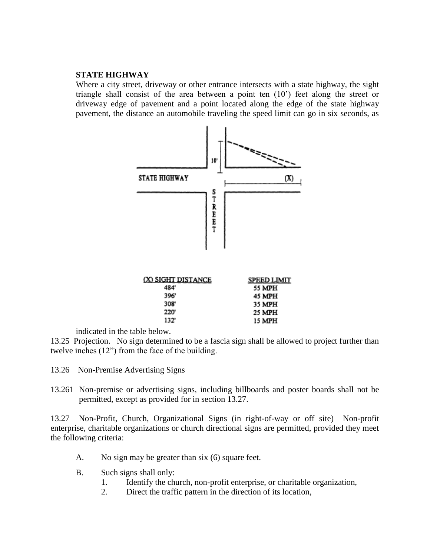## **STATE HIGHWAY**

Where a city street, driveway or other entrance intersects with a state highway, the sight triangle shall consist of the area between a point ten (10') feet along the street or driveway edge of pavement and a point located along the edge of the state highway pavement, the distance an automobile traveling the speed limit can go in six seconds, as



indicated in the table below.

13.25 Projection. No sign determined to be a fascia sign shall be allowed to project further than twelve inches (12") from the face of the building.

- 13.26 Non-Premise Advertising Signs
- 13.261 Non-premise or advertising signs, including billboards and poster boards shall not be permitted, except as provided for in section 13.27.

13.27 Non-Profit, Church, Organizational Signs (in right-of-way or off site) Non-profit enterprise, charitable organizations or church directional signs are permitted, provided they meet the following criteria:

- A. No sign may be greater than six (6) square feet.
- B. Such signs shall only:
	- 1. Identify the church, non-profit enterprise, or charitable organization,
	- 2. Direct the traffic pattern in the direction of its location,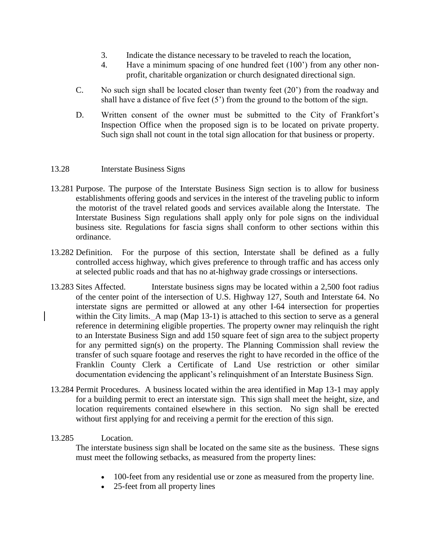- 3. Indicate the distance necessary to be traveled to reach the location,
- 4. Have a minimum spacing of one hundred feet (100') from any other nonprofit, charitable organization or church designated directional sign.
- C. No such sign shall be located closer than twenty feet (20') from the roadway and shall have a distance of five feet  $(5')$  from the ground to the bottom of the sign.
- D. Written consent of the owner must be submitted to the City of Frankfort's Inspection Office when the proposed sign is to be located on private property. Such sign shall not count in the total sign allocation for that business or property.

# 13.28 Interstate Business Signs

- 13.281 Purpose. The purpose of the Interstate Business Sign section is to allow for business establishments offering goods and services in the interest of the traveling public to inform the motorist of the travel related goods and services available along the Interstate. The Interstate Business Sign regulations shall apply only for pole signs on the individual business site. Regulations for fascia signs shall conform to other sections within this ordinance.
- 13.282 Definition. For the purpose of this section, Interstate shall be defined as a fully controlled access highway, which gives preference to through traffic and has access only at selected public roads and that has no at-highway grade crossings or intersections.
- 13.283 Sites Affected. Interstate business signs may be located within a 2,500 foot radius of the center point of the intersection of U.S. Highway 127, South and Interstate 64. No interstate signs are permitted or allowed at any other I-64 intersection for properties within the City limits. A map (Map 13-1) is attached to this section to serve as a general reference in determining eligible properties. The property owner may relinquish the right to an Interstate Business Sign and add 150 square feet of sign area to the subject property for any permitted sign(s) on the property. The Planning Commission shall review the transfer of such square footage and reserves the right to have recorded in the office of the Franklin County Clerk a Certificate of Land Use restriction or other similar documentation evidencing the applicant's relinquishment of an Interstate Business Sign.
- 13.284 Permit Procedures. A business located within the area identified in Map 13-1 may apply for a building permit to erect an interstate sign. This sign shall meet the height, size, and location requirements contained elsewhere in this section. No sign shall be erected without first applying for and receiving a permit for the erection of this sign.

## 13.285 Location.

The interstate business sign shall be located on the same site as the business. These signs must meet the following setbacks, as measured from the property lines:

- 100-feet from any residential use or zone as measured from the property line.
- 25-feet from all property lines